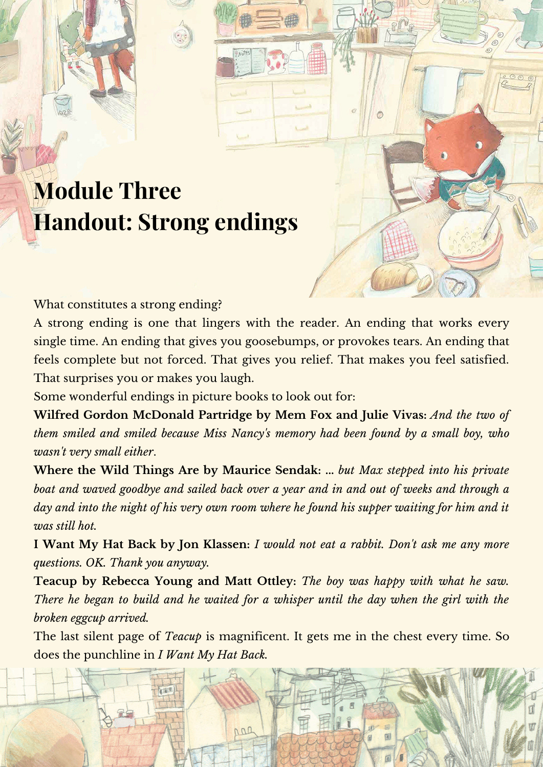## **Module Three Handout: Strong endings**

What constitutes a strong ending?

A strong ending is one that lingers with the reader. An ending that works every single time. An ending that gives you goosebumps, or provokes tears. An ending that feels complete but not forced. That gives you relief. That makes you feel satisfied. That surprises you or makes you laugh.

Some wonderful endings in picture books to look out for:

**Wilfred Gordon McDonald Partridge by Mem Fox and Julie Vivas:** *And the two of them smiled and smiled because Miss Nancy's memory had been found by a small boy, who wasn't very small either*.

**Where the Wild Things Are by Maurice Sendak: ...** *but Max stepped into his private boat and waved goodbye and sailed back over a year and in and out of weeks and through a* day and into the night of his very own room where he found his supper waiting for him and it *was still hot.*

**I Want My Hat Back by Jon Klassen:** *I would not eat a rabbit. Don't ask me any more questions. OK. Thank you anyway.*

**Teacup by Rebecca Young and Matt Ottley:** *The boy was happy with what he saw. There he began to build and he waited for a whisper until the day when the girl with the broken eggcup arrived.*

The last silent page of *Teacup* is magnificent. It gets me in the chest every time. So does the punchline in *I Want My Hat Back.*